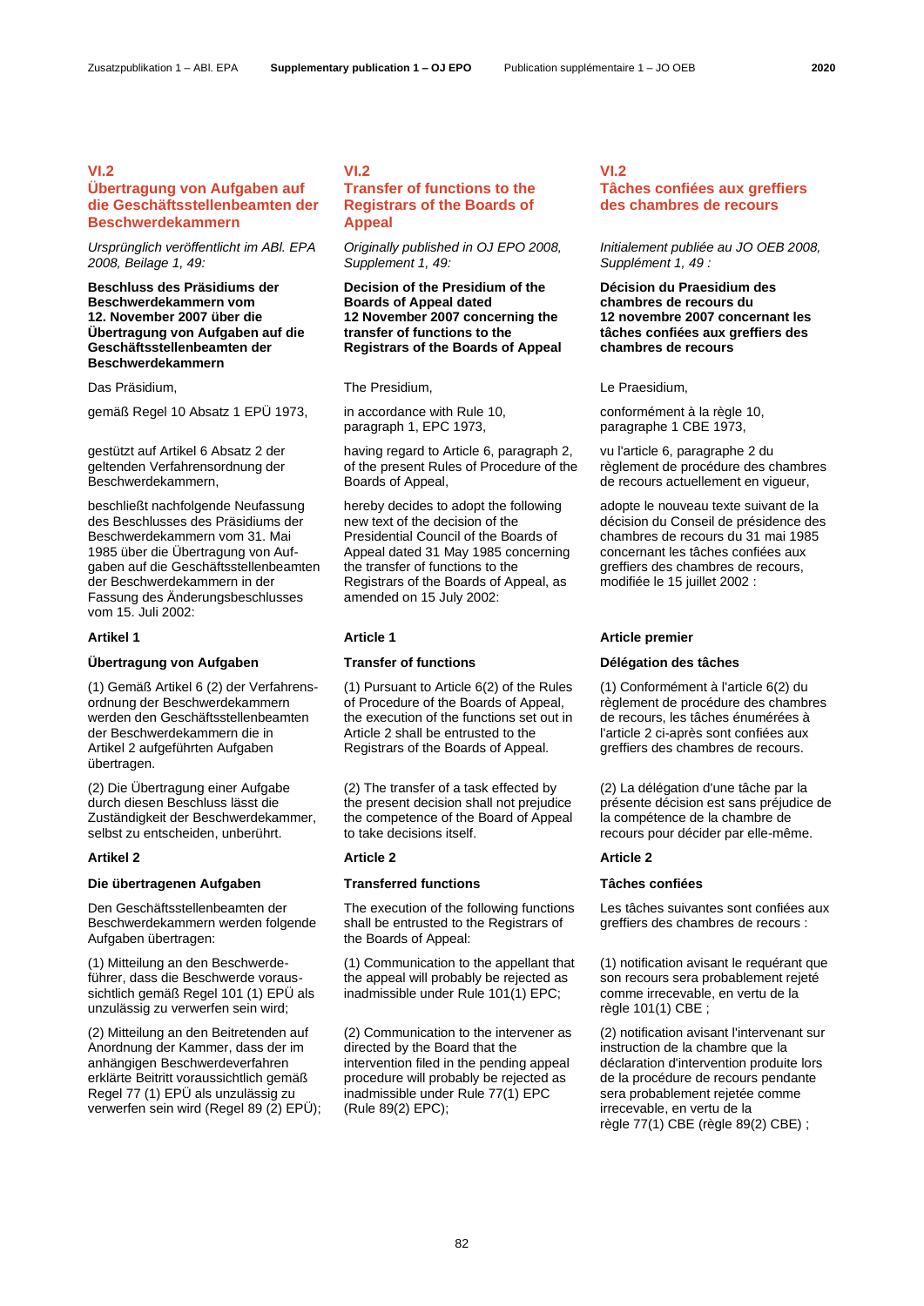# **VI.2**

# **Übertragung von Aufgaben auf die Geschäftsstellenbeamten der Beschwerdekammern**

*Ursprünglich veröffentlicht im ABl. EPA 2008, Beilage 1, 49:*

**Beschluss des Präsidiums der Beschwerdekammern vom 12. November 2007 über die Übertragung von Aufgaben auf die Geschäftsstellenbeamten der Beschwerdekammern**

Das Präsidium, The Presidium, The Presidium, Charles Australian Le Praesidium,

gemäß Regel 10 Absatz 1 EPÜ 1973, in accordance with Rule 10,

gestützt auf Artikel 6 Absatz 2 der geltenden Verfahrensordnung der Beschwerdekammern,

beschließt nachfolgende Neufassung des Beschlusses des Präsidiums der Beschwerdekammern vom 31. Mai 1985 über die Übertragung von Aufgaben auf die Geschäftsstellenbeamten der Beschwerdekammern in der Fassung des Änderungsbeschlusses vom 15. Juli 2002:

## **Übertragung von Aufgaben Transfer of functions Délégation des tâches**

(1) Gemäß Artikel 6 (2) der Verfahrensordnung der Beschwerdekammern werden den Geschäftsstellenbeamten der Beschwerdekammern die in Artikel 2 aufgeführten Aufgaben übertragen.

(2) Die Übertragung einer Aufgabe durch diesen Beschluss lässt die Zuständigkeit der Beschwerdekammer, selbst zu entscheiden, unberührt.

## **Die übertragenen Aufgaben Transferred functions Tâches confiées**

Den Geschäftsstellenbeamten der Beschwerdekammern werden folgende Aufgaben übertragen:

(1) Mitteilung an den Beschwerdeführer, dass die Beschwerde voraussichtlich gemäß Regel 101 (1) EPÜ als unzulässig zu verwerfen sein wird;

(2) Mitteilung an den Beitretenden auf Anordnung der Kammer, dass der im anhängigen Beschwerdeverfahren erklärte Beitritt voraussichtlich gemäß Regel 77 (1) EPÜ als unzulässig zu verwerfen sein wird (Regel 89 (2) EPÜ);

# **VI.2**

## **Transfer of functions to the Registrars of the Boards of Appeal**

*Originally published in OJ EPO 2008, Supplement 1, 49:*

## **Decision of the Presidium of the Boards of Appeal dated 12 November 2007 concerning the transfer of functions to the Registrars of the Boards of Appeal**

paragraph 1, EPC 1973,

having regard to Article 6, paragraph 2, of the present Rules of Procedure of the Boards of Appeal,

hereby decides to adopt the following new text of the decision of the Presidential Council of the Boards of Appeal dated 31 May 1985 concerning the transfer of functions to the Registrars of the Boards of Appeal, as amended on 15 July 2002:

(1) Pursuant to Article 6(2) of the Rules of Procedure of the Boards of Appeal, the execution of the functions set out in Article 2 shall be entrusted to the Registrars of the Boards of Appeal.

(2) The transfer of a task effected by the present decision shall not prejudice the competence of the Board of Appeal to take decisions itself.

### **Artikel 2 Article 2 Article 2**

The execution of the following functions shall be entrusted to the Registrars of the Boards of Appeal:

(1) Communication to the appellant that the appeal will probably be rejected as inadmissible under Rule 101(1) EPC;

(2) Communication to the intervener as directed by the Board that the intervention filed in the pending appeal procedure will probably be rejected as inadmissible under Rule 77(1) EPC (Rule 89(2) EPC);

## **VI.2 Tâches confiées aux greffiers des chambres de recours**

*Initialement publiée au JO OEB 2008, Supplément 1, 49 :*

**Décision du Praesidium des chambres de recours du 12 novembre 2007 concernant les tâches confiées aux greffiers des chambres de recours**

conformément à la règle 10, paragraphe 1 CBE 1973,

vu l'article 6, paragraphe 2 du règlement de procédure des chambres de recours actuellement en vigueur,

adopte le nouveau texte suivant de la décision du Conseil de présidence des chambres de recours du 31 mai 1985 concernant les tâches confiées aux greffiers des chambres de recours, modifiée le 15 juillet 2002 :

## **Artikel 1 Article 1 Article premier**

(1) Conformément à l'article 6(2) du règlement de procédure des chambres de recours, les tâches énumérées à l'article 2 ci-après sont confiées aux greffiers des chambres de recours.

(2) La délégation d'une tâche par la présente décision est sans préjudice de la compétence de la chambre de recours pour décider par elle-même.

Les tâches suivantes sont confiées aux greffiers des chambres de recours :

(1) notification avisant le requérant que son recours sera probablement rejeté comme irrecevable, en vertu de la règle 101(1) CBE ;

(2) notification avisant l'intervenant sur instruction de la chambre que la déclaration d'intervention produite lors de la procédure de recours pendante sera probablement rejetée comme irrecevable, en vertu de la règle 77(1) CBE (règle 89(2) CBE) ;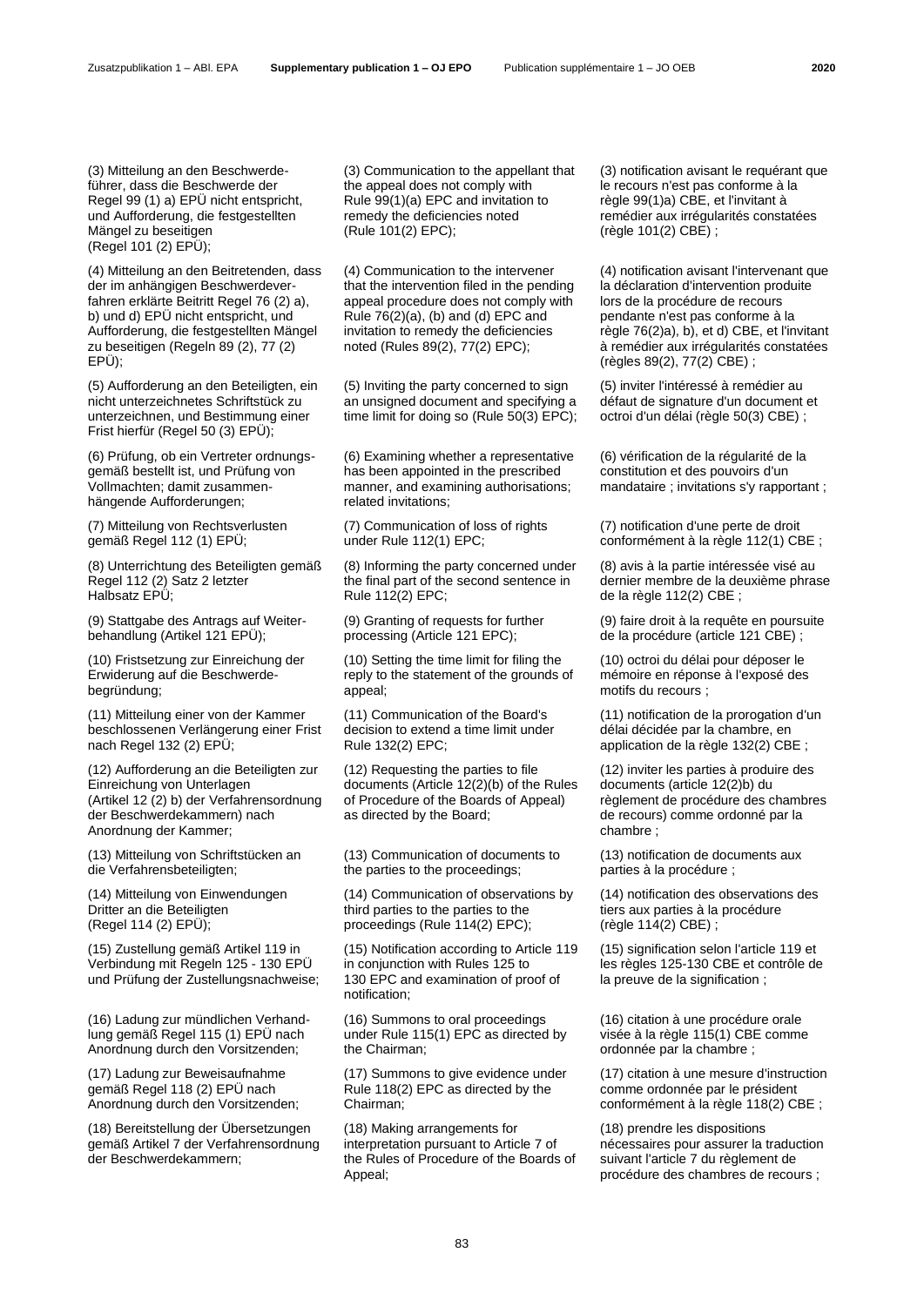(3) Mitteilung an den Beschwerdeführer, dass die Beschwerde der Regel 99 (1) a) EPÜ nicht entspricht, und Aufforderung, die festgestellten Mängel zu beseitigen (Regel 101 (2) EPÜ);

(4) Mitteilung an den Beitretenden, dass der im anhängigen Beschwerdeverfahren erklärte Beitritt Regel 76 (2) a), b) und d) EPÜ nicht entspricht, und Aufforderung, die festgestellten Mängel zu beseitigen (Regeln 89 (2), 77 (2) EPÜ);

(5) Aufforderung an den Beteiligten, ein nicht unterzeichnetes Schriftstück zu unterzeichnen, und Bestimmung einer Frist hierfür (Regel 50 (3) EPÜ);

(6) Prüfung, ob ein Vertreter ordnungsgemäß bestellt ist, und Prüfung von Vollmachten; damit zusammenhängende Aufforderungen;

(7) Mitteilung von Rechtsverlusten gemäß Regel 112 (1) EPÜ;

(8) Unterrichtung des Beteiligten gemäß Regel 112 (2) Satz 2 letzter Halbsatz EPÜ;

(9) Stattgabe des Antrags auf Weiterbehandlung (Artikel 121 EPÜ);

(10) Fristsetzung zur Einreichung der Erwiderung auf die Beschwerdebegründung;

(11) Mitteilung einer von der Kammer beschlossenen Verlängerung einer Frist nach Regel 132 (2) EPÜ;

(12) Aufforderung an die Beteiligten zur Einreichung von Unterlagen (Artikel 12 (2) b) der Verfahrensordnung der Beschwerdekammern) nach Anordnung der Kammer;

(13) Mitteilung von Schriftstücken an die Verfahrensbeteiligten;

(14) Mitteilung von Einwendungen Dritter an die Beteiligten (Regel 114 (2) EPÜ);

(15) Zustellung gemäß Artikel 119 in Verbindung mit Regeln 125 - 130 EPÜ und Prüfung der Zustellungsnachweise;

(16) Ladung zur mündlichen Verhandlung gemäß Regel 115 (1) EPÜ nach Anordnung durch den Vorsitzenden;

(17) Ladung zur Beweisaufnahme gemäß Regel 118 (2) EPÜ nach Anordnung durch den Vorsitzenden;

(18) Bereitstellung der Übersetzungen gemäß Artikel 7 der Verfahrensordnung der Beschwerdekammern;

(3) Communication to the appellant that the appeal does not comply with Rule 99(1)(a) EPC and invitation to remedy the deficiencies noted (Rule 101(2) EPC);

(4) Communication to the intervener that the intervention filed in the pending appeal procedure does not comply with Rule 76(2)(a), (b) and (d) EPC and invitation to remedy the deficiencies noted (Rules 89(2), 77(2) EPC);

(5) Inviting the party concerned to sign an unsigned document and specifying a time limit for doing so (Rule 50(3) EPC);

(6) Examining whether a representative has been appointed in the prescribed manner, and examining authorisations; related invitations;

(7) Communication of loss of rights under Rule 112(1) EPC;

(8) Informing the party concerned under the final part of the second sentence in Rule 112(2) EPC;

(9) Granting of requests for further processing (Article 121 EPC);

(10) Setting the time limit for filing the reply to the statement of the grounds of appeal;

(11) Communication of the Board's decision to extend a time limit under Rule 132(2) EPC;

(12) Requesting the parties to file documents (Article 12(2)(b) of the Rules of Procedure of the Boards of Appeal) as directed by the Board;

(13) Communication of documents to the parties to the proceedings;

(14) Communication of observations by third parties to the parties to the proceedings (Rule 114(2) EPC);

(15) Notification according to Article 119 in conjunction with Rules 125 to 130 EPC and examination of proof of notification;

(16) Summons to oral proceedings under Rule 115(1) EPC as directed by the Chairman;

(17) Summons to give evidence under Rule 118(2) EPC as directed by the Chairman;

(18) Making arrangements for interpretation pursuant to Article 7 of the Rules of Procedure of the Boards of Appeal;

(3) notification avisant le requérant que le recours n'est pas conforme à la règle 99(1)a) CBE, et l'invitant à remédier aux irrégularités constatées (règle 101(2) CBE) ;

(4) notification avisant l'intervenant que la déclaration d'intervention produite lors de la procédure de recours pendante n'est pas conforme à la règle 76(2)a), b), et d) CBE, et l'invitant à remédier aux irrégularités constatées (règles 89(2), 77(2) CBE) ;

(5) inviter l'intéressé à remédier au défaut de signature d'un document et octroi d'un délai (règle 50(3) CBE) ;

(6) vérification de la régularité de la constitution et des pouvoirs d'un mandataire ; invitations s'y rapportant ;

(7) notification d'une perte de droit conformément à la règle 112(1) CBE :

(8) avis à la partie intéressée visé au dernier membre de la deuxième phrase de la règle 112(2) CBE ;

(9) faire droit à la requête en poursuite de la procédure (article 121 CBE) ;

(10) octroi du délai pour déposer le mémoire en réponse à l'exposé des motifs du recours ;

(11) notification de la prorogation d'un délai décidée par la chambre, en application de la règle 132(2) CBE ;

(12) inviter les parties à produire des documents (article 12(2)b) du règlement de procédure des chambres de recours) comme ordonné par la chambre ;

(13) notification de documents aux parties à la procédure ;

(14) notification des observations des tiers aux parties à la procédure (règle 114(2) CBE) ;

(15) signification selon l'article 119 et les règles 125-130 CBE et contrôle de la preuve de la signification ;

(16) citation à une procédure orale visée à la règle 115(1) CBE comme ordonnée par la chambre ;

(17) citation à une mesure d'instruction comme ordonnée par le président conformément à la règle 118(2) CBE ;

(18) prendre les dispositions nécessaires pour assurer la traduction suivant l'article 7 du règlement de procédure des chambres de recours ;